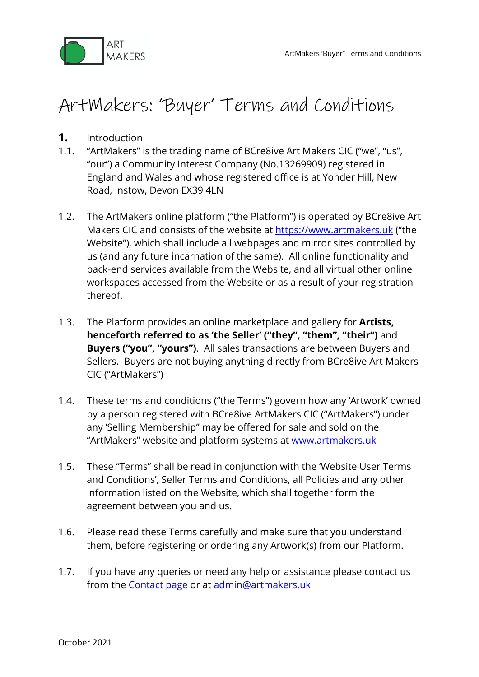

# ArtMakers: 'Buyer' Terms and Conditions

- **1.** Introduction
- 1.1. "ArtMakers" is the trading name of BCre8ive Art Makers CIC ("we", "us", "our") a Community Interest Company (No.13269909) registered in England and Wales and whose registered office is at Yonder Hill, New Road, Instow, Devon EX39 4LN
- 1.2. The ArtMakers online platform ("the Platform") is operated by BCre8ive Art Makers CIC and consists of the website at https://www.artmakers.uk ("the Website"), which shall include all webpages and mirror sites controlled by us (and any future incarnation of the same). All online functionality and back-end services available from the Website, and all virtual other online workspaces accessed from the Website or as a result of your registration thereof.
- 1.3. The Platform provides an online marketplace and gallery for **Artists, henceforth referred to as 'the Seller' ("they", "them", "their")** and **Buyers ("you", "yours")**. All sales transactions are between Buyers and Sellers. Buyers are not buying anything directly from BCre8ive Art Makers CIC ("ArtMakers")
- 1.4. These terms and conditions ("the Terms") govern how any 'Artwork' owned by a person registered with BCre8ive ArtMakers CIC ("ArtMakers") under any 'Selling Membership" may be offered for sale and sold on the "ArtMakers" website and platform systems at www.artmakers.uk
- 1.5. These "Terms" shall be read in conjunction with the 'Website User Terms and Conditions', Seller Terms and Conditions, all Policies and any other information listed on the Website, which shall together form the agreement between you and us.
- 1.6. Please read these Terms carefully and make sure that you understand them, before registering or ordering any Artwork(s) from our Platform.
- 1.7. If you have any queries or need any help or assistance please contact us from the **Contact page** or at admin@artmakers.uk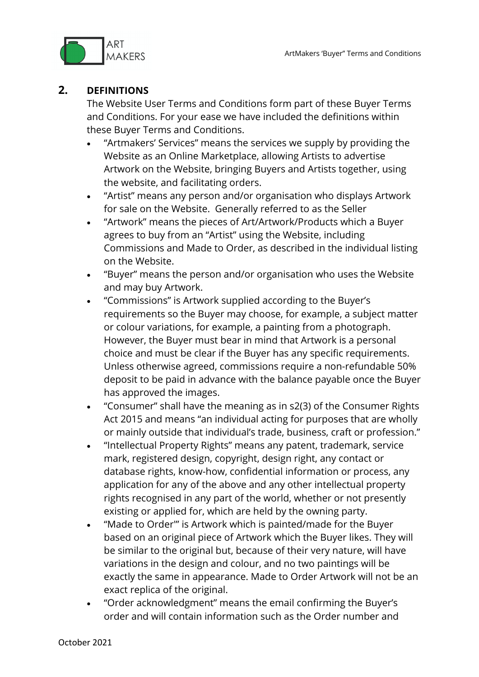

#### **2. DEFINITIONS**

The Website User Terms and Conditions form part of these Buyer Terms and Conditions. For your ease we have included the definitions within these Buyer Terms and Conditions.

- "Artmakers' Services" means the services we supply by providing the Website as an Online Marketplace, allowing Artists to advertise Artwork on the Website, bringing Buyers and Artists together, using the website, and facilitating orders.
- "Artist" means any person and/or organisation who displays Artwork for sale on the Website. Generally referred to as the Seller
- "Artwork" means the pieces of Art/Artwork/Products which a Buyer agrees to buy from an "Artist" using the Website, including Commissions and Made to Order, as described in the individual listing on the Website.
- "Buyer" means the person and/or organisation who uses the Website and may buy Artwork.
- "Commissions" is Artwork supplied according to the Buyer's requirements so the Buyer may choose, for example, a subject matter or colour variations, for example, a painting from a photograph. However, the Buyer must bear in mind that Artwork is a personal choice and must be clear if the Buyer has any specific requirements. Unless otherwise agreed, commissions require a non-refundable 50% deposit to be paid in advance with the balance payable once the Buyer has approved the images.
- "Consumer" shall have the meaning as in s2(3) of the Consumer Rights Act 2015 and means "an individual acting for purposes that are wholly or mainly outside that individual's trade, business, craft or profession."
- "Intellectual Property Rights" means any patent, trademark, service mark, registered design, copyright, design right, any contact or database rights, know-how, confidential information or process, any application for any of the above and any other intellectual property rights recognised in any part of the world, whether or not presently existing or applied for, which are held by the owning party.
- "Made to Order'" is Artwork which is painted/made for the Buyer based on an original piece of Artwork which the Buyer likes. They will be similar to the original but, because of their very nature, will have variations in the design and colour, and no two paintings will be exactly the same in appearance. Made to Order Artwork will not be an exact replica of the original.
- "Order acknowledgment" means the email confirming the Buyer's order and will contain information such as the Order number and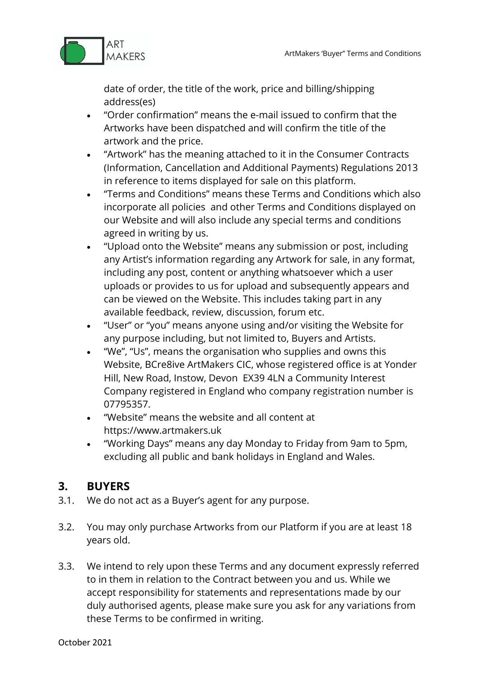

date of order, the title of the work, price and billing/shipping address(es)

- "Order confirmation" means the e-mail issued to confirm that the Artworks have been dispatched and will confirm the title of the artwork and the price.
- "Artwork" has the meaning attached to it in the Consumer Contracts (Information, Cancellation and Additional Payments) Regulations 2013 in reference to items displayed for sale on this platform.
- "Terms and Conditions" means these Terms and Conditions which also incorporate all policies and other Terms and Conditions displayed on our Website and will also include any special terms and conditions agreed in writing by us.
- "Upload onto the Website" means any submission or post, including any Artist's information regarding any Artwork for sale, in any format, including any post, content or anything whatsoever which a user uploads or provides to us for upload and subsequently appears and can be viewed on the Website. This includes taking part in any available feedback, review, discussion, forum etc.
- "User" or "you" means anyone using and/or visiting the Website for any purpose including, but not limited to, Buyers and Artists.
- "We", "Us", means the organisation who supplies and owns this Website, BCre8ive ArtMakers CIC, whose registered office is at Yonder Hill, New Road, Instow, Devon EX39 4LN a Community Interest Company registered in England who company registration number is 07795357.
- "Website" means the website and all content at https://www.artmakers.uk
- "Working Days" means any day Monday to Friday from 9am to 5pm, excluding all public and bank holidays in England and Wales.

# **3. BUYERS**

- 3.1. We do not act as a Buyer's agent for any purpose.
- 3.2. You may only purchase Artworks from our Platform if you are at least 18 years old.
- 3.3. We intend to rely upon these Terms and any document expressly referred to in them in relation to the Contract between you and us. While we accept responsibility for statements and representations made by our duly authorised agents, please make sure you ask for any variations from these Terms to be confirmed in writing.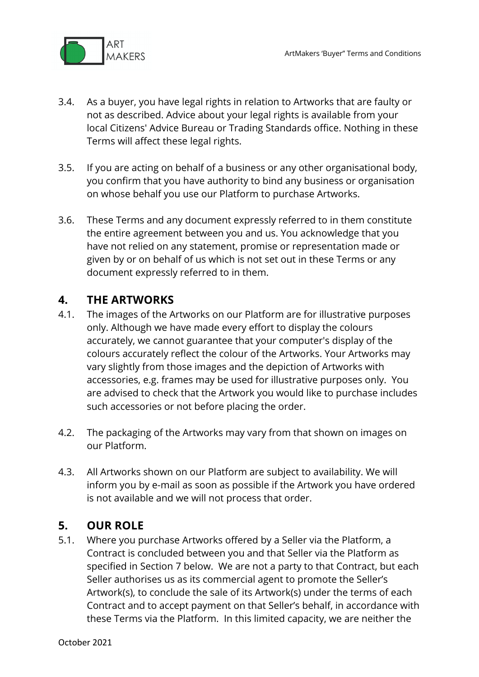

- 3.4. As a buyer, you have legal rights in relation to Artworks that are faulty or not as described. Advice about your legal rights is available from your local Citizens' Advice Bureau or Trading Standards office. Nothing in these Terms will affect these legal rights.
- 3.5. If you are acting on behalf of a business or any other organisational body, you confirm that you have authority to bind any business or organisation on whose behalf you use our Platform to purchase Artworks.
- 3.6. These Terms and any document expressly referred to in them constitute the entire agreement between you and us. You acknowledge that you have not relied on any statement, promise or representation made or given by or on behalf of us which is not set out in these Terms or any document expressly referred to in them.

## **4. THE ARTWORKS**

- 4.1. The images of the Artworks on our Platform are for illustrative purposes only. Although we have made every effort to display the colours accurately, we cannot guarantee that your computer's display of the colours accurately reflect the colour of the Artworks. Your Artworks may vary slightly from those images and the depiction of Artworks with accessories, e.g. frames may be used for illustrative purposes only. You are advised to check that the Artwork you would like to purchase includes such accessories or not before placing the order.
- 4.2. The packaging of the Artworks may vary from that shown on images on our Platform.
- 4.3. All Artworks shown on our Platform are subject to availability. We will inform you by e-mail as soon as possible if the Artwork you have ordered is not available and we will not process that order.

## **5. OUR ROLE**

5.1. Where you purchase Artworks offered by a Seller via the Platform, a Contract is concluded between you and that Seller via the Platform as specified in Section 7 below. We are not a party to that Contract, but each Seller authorises us as its commercial agent to promote the Seller's Artwork(s), to conclude the sale of its Artwork(s) under the terms of each Contract and to accept payment on that Seller's behalf, in accordance with these Terms via the Platform. In this limited capacity, we are neither the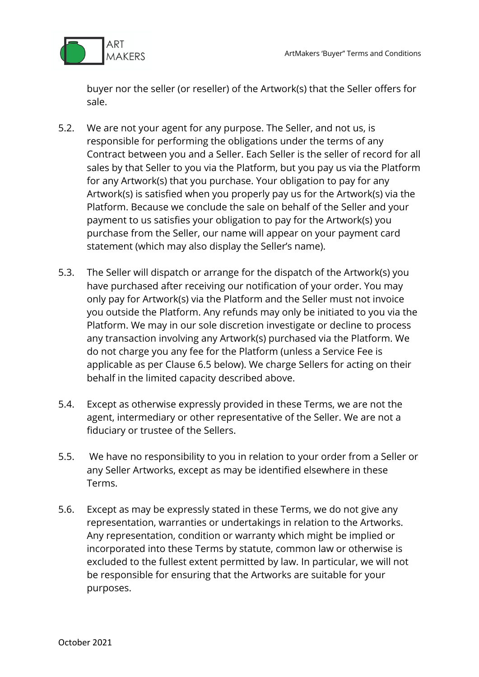

buyer nor the seller (or reseller) of the Artwork(s) that the Seller offers for sale.

- 5.2. We are not your agent for any purpose. The Seller, and not us, is responsible for performing the obligations under the terms of any Contract between you and a Seller. Each Seller is the seller of record for all sales by that Seller to you via the Platform, but you pay us via the Platform for any Artwork(s) that you purchase. Your obligation to pay for any Artwork(s) is satisfied when you properly pay us for the Artwork(s) via the Platform. Because we conclude the sale on behalf of the Seller and your payment to us satisfies your obligation to pay for the Artwork(s) you purchase from the Seller, our name will appear on your payment card statement (which may also display the Seller's name).
- 5.3. The Seller will dispatch or arrange for the dispatch of the Artwork(s) you have purchased after receiving our notification of your order. You may only pay for Artwork(s) via the Platform and the Seller must not invoice you outside the Platform. Any refunds may only be initiated to you via the Platform. We may in our sole discretion investigate or decline to process any transaction involving any Artwork(s) purchased via the Platform. We do not charge you any fee for the Platform (unless a Service Fee is applicable as per Clause 6.5 below). We charge Sellers for acting on their behalf in the limited capacity described above.
- 5.4. Except as otherwise expressly provided in these Terms, we are not the agent, intermediary or other representative of the Seller. We are not a fiduciary or trustee of the Sellers.
- 5.5. We have no responsibility to you in relation to your order from a Seller or any Seller Artworks, except as may be identified elsewhere in these Terms.
- 5.6. Except as may be expressly stated in these Terms, we do not give any representation, warranties or undertakings in relation to the Artworks. Any representation, condition or warranty which might be implied or incorporated into these Terms by statute, common law or otherwise is excluded to the fullest extent permitted by law. In particular, we will not be responsible for ensuring that the Artworks are suitable for your purposes.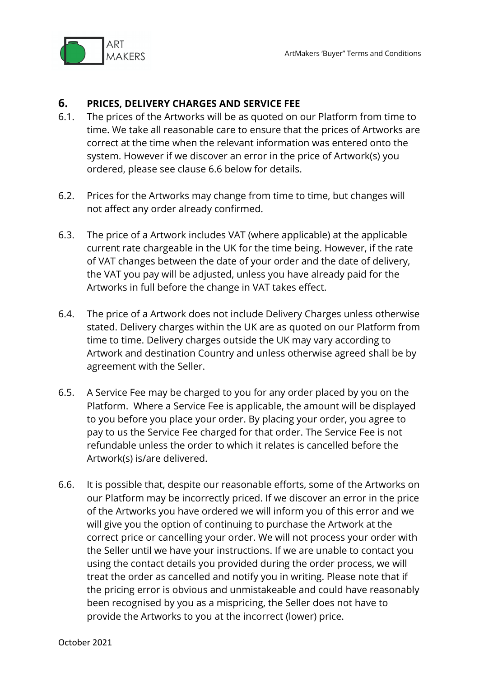

#### **6. PRICES, DELIVERY CHARGES AND SERVICE FEE**

- 6.1. The prices of the Artworks will be as quoted on our Platform from time to time. We take all reasonable care to ensure that the prices of Artworks are correct at the time when the relevant information was entered onto the system. However if we discover an error in the price of Artwork(s) you ordered, please see clause 6.6 below for details.
- 6.2. Prices for the Artworks may change from time to time, but changes will not affect any order already confirmed.
- 6.3. The price of a Artwork includes VAT (where applicable) at the applicable current rate chargeable in the UK for the time being. However, if the rate of VAT changes between the date of your order and the date of delivery, the VAT you pay will be adjusted, unless you have already paid for the Artworks in full before the change in VAT takes effect.
- 6.4. The price of a Artwork does not include Delivery Charges unless otherwise stated. Delivery charges within the UK are as quoted on our Platform from time to time. Delivery charges outside the UK may vary according to Artwork and destination Country and unless otherwise agreed shall be by agreement with the Seller.
- 6.5. A Service Fee may be charged to you for any order placed by you on the Platform. Where a Service Fee is applicable, the amount will be displayed to you before you place your order. By placing your order, you agree to pay to us the Service Fee charged for that order. The Service Fee is not refundable unless the order to which it relates is cancelled before the Artwork(s) is/are delivered.
- 6.6. It is possible that, despite our reasonable efforts, some of the Artworks on our Platform may be incorrectly priced. If we discover an error in the price of the Artworks you have ordered we will inform you of this error and we will give you the option of continuing to purchase the Artwork at the correct price or cancelling your order. We will not process your order with the Seller until we have your instructions. If we are unable to contact you using the contact details you provided during the order process, we will treat the order as cancelled and notify you in writing. Please note that if the pricing error is obvious and unmistakeable and could have reasonably been recognised by you as a mispricing, the Seller does not have to provide the Artworks to you at the incorrect (lower) price.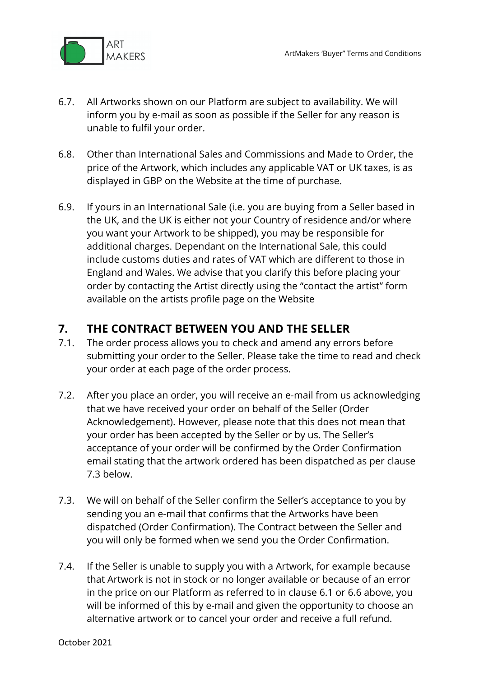

- 6.7. All Artworks shown on our Platform are subject to availability. We will inform you by e-mail as soon as possible if the Seller for any reason is unable to fulfil your order.
- 6.8. Other than International Sales and Commissions and Made to Order, the price of the Artwork, which includes any applicable VAT or UK taxes, is as displayed in GBP on the Website at the time of purchase.
- 6.9. If yours in an International Sale (i.e. you are buying from a Seller based in the UK, and the UK is either not your Country of residence and/or where you want your Artwork to be shipped), you may be responsible for additional charges. Dependant on the International Sale, this could include customs duties and rates of VAT which are different to those in England and Wales. We advise that you clarify this before placing your order by contacting the Artist directly using the "contact the artist" form available on the artists profile page on the Website

## **7. THE CONTRACT BETWEEN YOU AND THE SELLER**

- 7.1. The order process allows you to check and amend any errors before submitting your order to the Seller. Please take the time to read and check your order at each page of the order process.
- 7.2. After you place an order, you will receive an e-mail from us acknowledging that we have received your order on behalf of the Seller (Order Acknowledgement). However, please note that this does not mean that your order has been accepted by the Seller or by us. The Seller's acceptance of your order will be confirmed by the Order Confirmation email stating that the artwork ordered has been dispatched as per clause 7.3 below.
- 7.3. We will on behalf of the Seller confirm the Seller's acceptance to you by sending you an e-mail that confirms that the Artworks have been dispatched (Order Confirmation). The Contract between the Seller and you will only be formed when we send you the Order Confirmation.
- 7.4. If the Seller is unable to supply you with a Artwork, for example because that Artwork is not in stock or no longer available or because of an error in the price on our Platform as referred to in clause 6.1 or 6.6 above, you will be informed of this by e-mail and given the opportunity to choose an alternative artwork or to cancel your order and receive a full refund.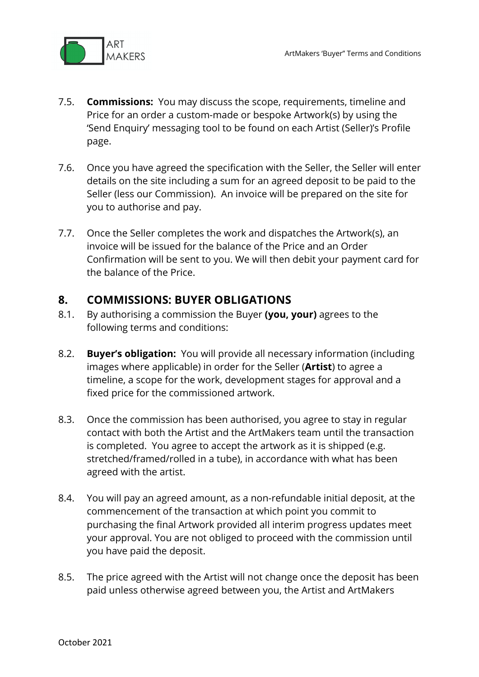

- 7.5. **Commissions:** You may discuss the scope, requirements, timeline and Price for an order a custom-made or bespoke Artwork(s) by using the 'Send Enquiry' messaging tool to be found on each Artist (Seller)'s Profile page.
- 7.6. Once you have agreed the specification with the Seller, the Seller will enter details on the site including a sum for an agreed deposit to be paid to the Seller (less our Commission). An invoice will be prepared on the site for you to authorise and pay.
- 7.7. Once the Seller completes the work and dispatches the Artwork(s), an invoice will be issued for the balance of the Price and an Order Confirmation will be sent to you. We will then debit your payment card for the balance of the Price.

#### **8. COMMISSIONS: BUYER OBLIGATIONS**

- 8.1. By authorising a commission the Buyer **(you, your)** agrees to the following terms and conditions:
- 8.2. **Buyer's obligation:** You will provide all necessary information (including images where applicable) in order for the Seller (**Artist**) to agree a timeline, a scope for the work, development stages for approval and a fixed price for the commissioned artwork.
- 8.3. Once the commission has been authorised, you agree to stay in regular contact with both the Artist and the ArtMakers team until the transaction is completed. You agree to accept the artwork as it is shipped (e.g. stretched/framed/rolled in a tube), in accordance with what has been agreed with the artist.
- 8.4. You will pay an agreed amount, as a non-refundable initial deposit, at the commencement of the transaction at which point you commit to purchasing the final Artwork provided all interim progress updates meet your approval. You are not obliged to proceed with the commission until you have paid the deposit.
- 8.5. The price agreed with the Artist will not change once the deposit has been paid unless otherwise agreed between you, the Artist and ArtMakers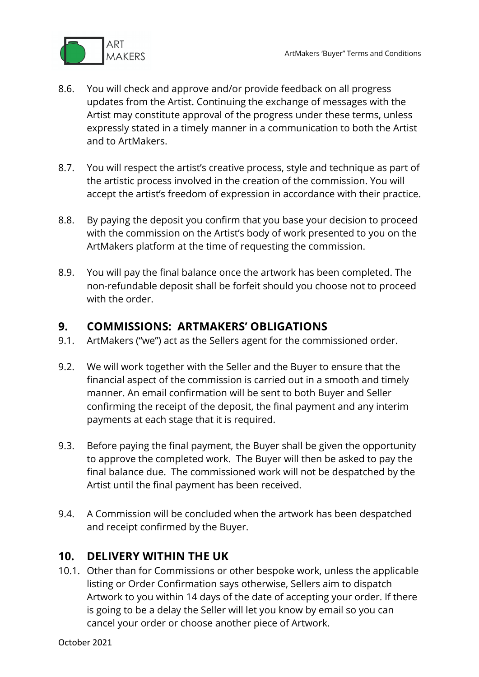

- 8.6. You will check and approve and/or provide feedback on all progress updates from the Artist. Continuing the exchange of messages with the Artist may constitute approval of the progress under these terms, unless expressly stated in a timely manner in a communication to both the Artist and to ArtMakers.
- 8.7. You will respect the artist's creative process, style and technique as part of the artistic process involved in the creation of the commission. You will accept the artist's freedom of expression in accordance with their practice.
- 8.8. By paying the deposit you confirm that you base your decision to proceed with the commission on the Artist's body of work presented to you on the ArtMakers platform at the time of requesting the commission.
- 8.9. You will pay the final balance once the artwork has been completed. The non-refundable deposit shall be forfeit should you choose not to proceed with the order.

#### **9. COMMISSIONS: ARTMAKERS' OBLIGATIONS**

- 9.1. ArtMakers ("we") act as the Sellers agent for the commissioned order.
- 9.2. We will work together with the Seller and the Buyer to ensure that the financial aspect of the commission is carried out in a smooth and timely manner. An email confirmation will be sent to both Buyer and Seller confirming the receipt of the deposit, the final payment and any interim payments at each stage that it is required.
- 9.3. Before paying the final payment, the Buyer shall be given the opportunity to approve the completed work. The Buyer will then be asked to pay the final balance due. The commissioned work will not be despatched by the Artist until the final payment has been received.
- 9.4. A Commission will be concluded when the artwork has been despatched and receipt confirmed by the Buyer.

## **10. DELIVERY WITHIN THE UK**

10.1. Other than for Commissions or other bespoke work, unless the applicable listing or Order Confirmation says otherwise, Sellers aim to dispatch Artwork to you within 14 days of the date of accepting your order. If there is going to be a delay the Seller will let you know by email so you can cancel your order or choose another piece of Artwork.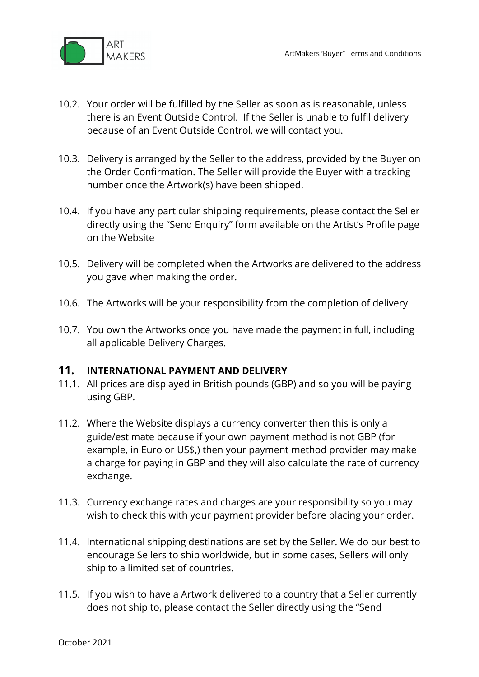

- 10.2. Your order will be fulfilled by the Seller as soon as is reasonable, unless there is an Event Outside Control. If the Seller is unable to fulfil delivery because of an Event Outside Control, we will contact you.
- 10.3. Delivery is arranged by the Seller to the address, provided by the Buyer on the Order Confirmation. The Seller will provide the Buyer with a tracking number once the Artwork(s) have been shipped.
- 10.4. If you have any particular shipping requirements, please contact the Seller directly using the "Send Enquiry" form available on the Artist's Profile page on the Website
- 10.5. Delivery will be completed when the Artworks are delivered to the address you gave when making the order.
- 10.6. The Artworks will be your responsibility from the completion of delivery.
- 10.7. You own the Artworks once you have made the payment in full, including all applicable Delivery Charges.

#### **11. INTERNATIONAL PAYMENT AND DELIVERY**

- 11.1. All prices are displayed in British pounds (GBP) and so you will be paying using GBP.
- 11.2. Where the Website displays a currency converter then this is only a guide/estimate because if your own payment method is not GBP (for example, in Euro or US\$,) then your payment method provider may make a charge for paying in GBP and they will also calculate the rate of currency exchange.
- 11.3. Currency exchange rates and charges are your responsibility so you may wish to check this with your payment provider before placing your order.
- 11.4. International shipping destinations are set by the Seller. We do our best to encourage Sellers to ship worldwide, but in some cases, Sellers will only ship to a limited set of countries.
- 11.5. If you wish to have a Artwork delivered to a country that a Seller currently does not ship to, please contact the Seller directly using the "Send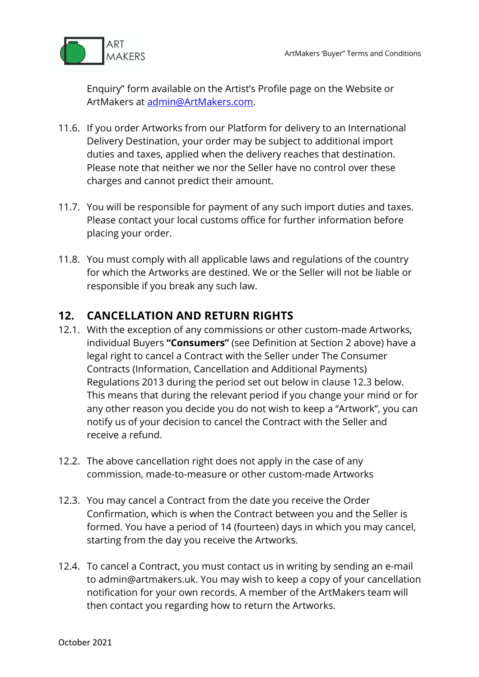

Enquiry" form available on the Artist's Profile page on the Website or ArtMakers at admin@ArtMakers.com.

- 11.6. If you order Artworks from our Platform for delivery to an International Delivery Destination, your order may be subject to additional import duties and taxes, applied when the delivery reaches that destination. Please note that neither we nor the Seller have no control over these charges and cannot predict their amount.
- 11.7. You will be responsible for payment of any such import duties and taxes. Please contact your local customs office for further information before placing your order.
- 11.8. You must comply with all applicable laws and regulations of the country for which the Artworks are destined. We or the Seller will not be liable or responsible if you break any such law.

# **12. CANCELLATION AND RETURN RIGHTS**

- 12.1. With the exception of any commissions or other custom-made Artworks, individual Buyers **"Consumers"** (see Definition at Section 2 above) have a legal right to cancel a Contract with the Seller under The Consumer Contracts (Information, Cancellation and Additional Payments) Regulations 2013 during the period set out below in clause 12.3 below. This means that during the relevant period if you change your mind or for any other reason you decide you do not wish to keep a "Artwork", you can notify us of your decision to cancel the Contract with the Seller and receive a refund.
- 12.2. The above cancellation right does not apply in the case of any commission, made-to-measure or other custom-made Artworks
- 12.3. You may cancel a Contract from the date you receive the Order Confirmation, which is when the Contract between you and the Seller is formed. You have a period of 14 (fourteen) days in which you may cancel, starting from the day you receive the Artworks.
- 12.4. To cancel a Contract, you must contact us in writing by sending an e-mail to admin@artmakers.uk. You may wish to keep a copy of your cancellation notification for your own records. A member of the ArtMakers team will then contact you regarding how to return the Artworks.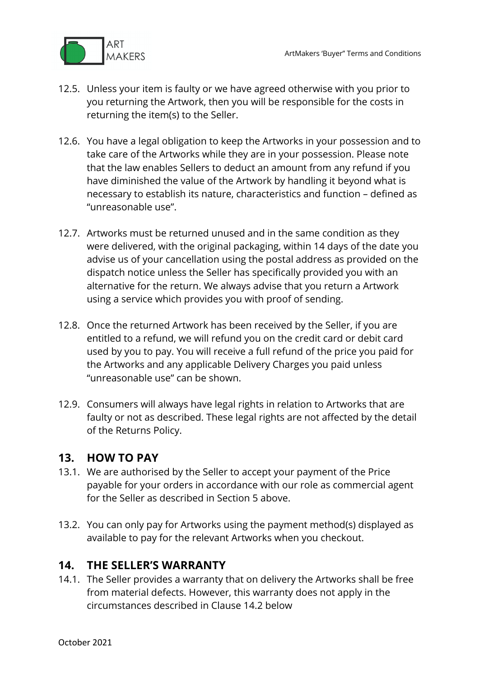

- 12.5. Unless your item is faulty or we have agreed otherwise with you prior to you returning the Artwork, then you will be responsible for the costs in returning the item(s) to the Seller.
- 12.6. You have a legal obligation to keep the Artworks in your possession and to take care of the Artworks while they are in your possession. Please note that the law enables Sellers to deduct an amount from any refund if you have diminished the value of the Artwork by handling it beyond what is necessary to establish its nature, characteristics and function – defined as "unreasonable use".
- 12.7. Artworks must be returned unused and in the same condition as they were delivered, with the original packaging, within 14 days of the date you advise us of your cancellation using the postal address as provided on the dispatch notice unless the Seller has specifically provided you with an alternative for the return. We always advise that you return a Artwork using a service which provides you with proof of sending.
- 12.8. Once the returned Artwork has been received by the Seller, if you are entitled to a refund, we will refund you on the credit card or debit card used by you to pay. You will receive a full refund of the price you paid for the Artworks and any applicable Delivery Charges you paid unless "unreasonable use" can be shown.
- 12.9. Consumers will always have legal rights in relation to Artworks that are faulty or not as described. These legal rights are not affected by the detail of the Returns Policy.

#### **13. HOW TO PAY**

- 13.1. We are authorised by the Seller to accept your payment of the Price payable for your orders in accordance with our role as commercial agent for the Seller as described in Section 5 above.
- 13.2. You can only pay for Artworks using the payment method(s) displayed as available to pay for the relevant Artworks when you checkout.

#### **14. THE SELLER'S WARRANTY**

14.1. The Seller provides a warranty that on delivery the Artworks shall be free from material defects. However, this warranty does not apply in the circumstances described in Clause 14.2 below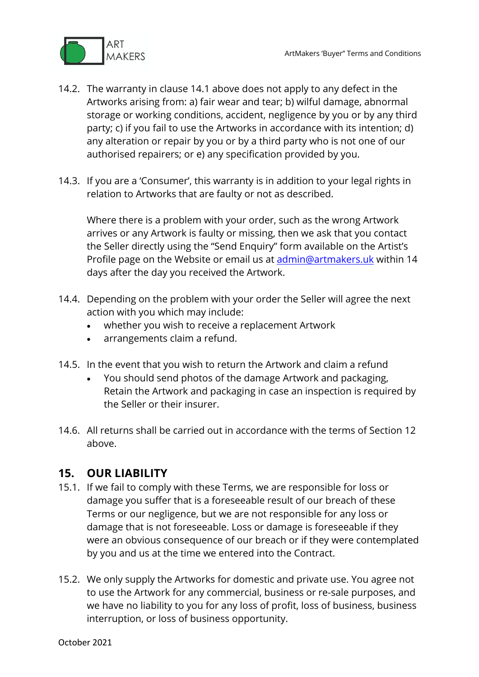

- 14.2. The warranty in clause 14.1 above does not apply to any defect in the Artworks arising from: a) fair wear and tear; b) wilful damage, abnormal storage or working conditions, accident, negligence by you or by any third party; c) if you fail to use the Artworks in accordance with its intention; d) any alteration or repair by you or by a third party who is not one of our authorised repairers; or e) any specification provided by you.
- 14.3. If you are a 'Consumer', this warranty is in addition to your legal rights in relation to Artworks that are faulty or not as described.

Where there is a problem with your order, such as the wrong Artwork arrives or any Artwork is faulty or missing, then we ask that you contact the Seller directly using the "Send Enquiry" form available on the Artist's Profile page on the Website or email us at admin@artmakers.uk within 14 days after the day you received the Artwork.

- 14.4. Depending on the problem with your order the Seller will agree the next action with you which may include:
	- whether you wish to receive a replacement Artwork
	- arrangements claim a refund.
- 14.5. In the event that you wish to return the Artwork and claim a refund
	- You should send photos of the damage Artwork and packaging, Retain the Artwork and packaging in case an inspection is required by the Seller or their insurer.
- 14.6. All returns shall be carried out in accordance with the terms of Section 12 above.

## **15. OUR LIABILITY**

- 15.1. If we fail to comply with these Terms, we are responsible for loss or damage you suffer that is a foreseeable result of our breach of these Terms or our negligence, but we are not responsible for any loss or damage that is not foreseeable. Loss or damage is foreseeable if they were an obvious consequence of our breach or if they were contemplated by you and us at the time we entered into the Contract.
- 15.2. We only supply the Artworks for domestic and private use. You agree not to use the Artwork for any commercial, business or re-sale purposes, and we have no liability to you for any loss of profit, loss of business, business interruption, or loss of business opportunity.